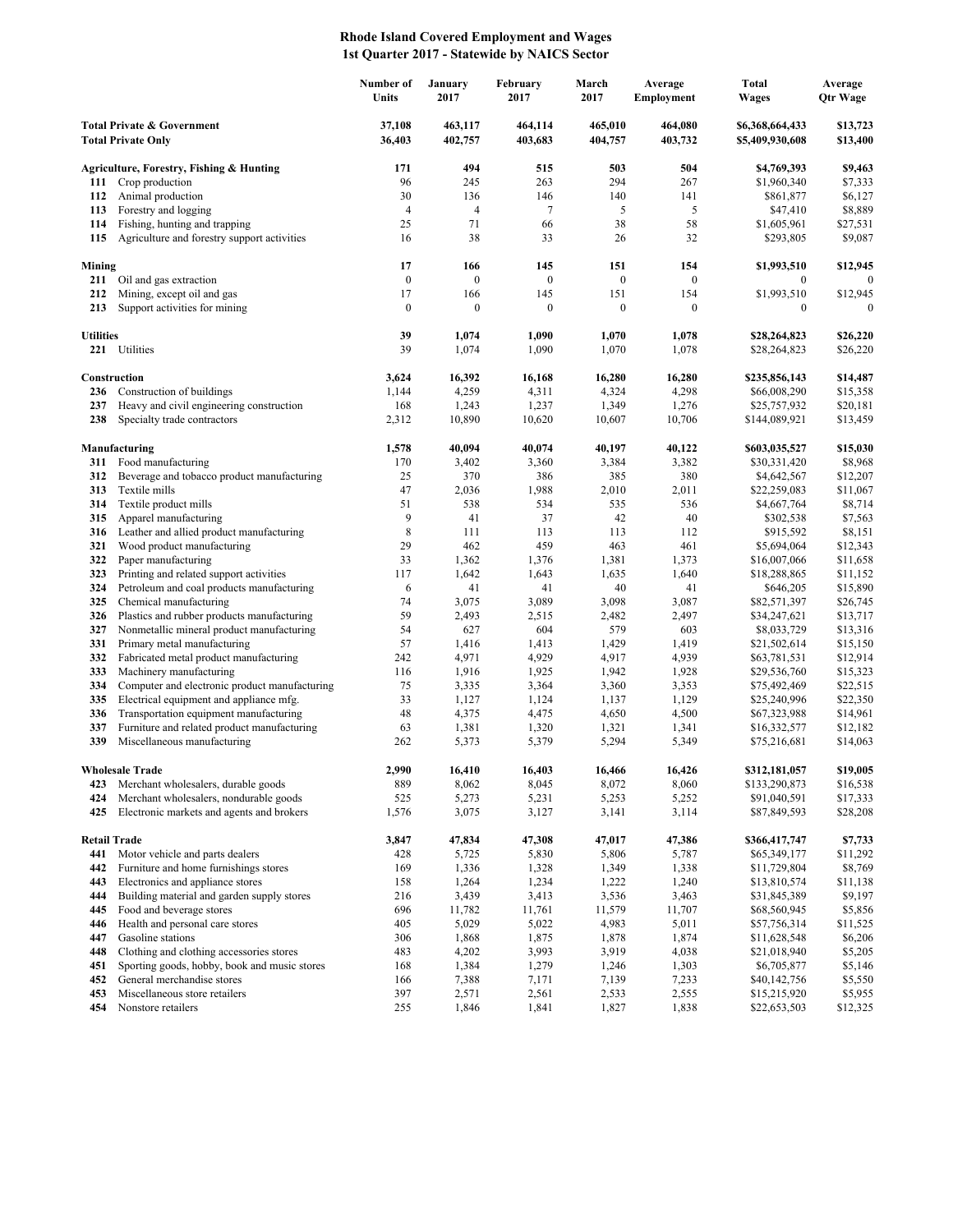## **Rhode Island Covered Employment and Wages 1st Quarter 2017 - Statewide by NAICS Sector**

| <b>Total Private &amp; Government</b><br>37,108<br>463,117<br>464,114<br>465,010<br>464,080<br>\$6,368,664,433<br>\$13,723<br>36,403<br>402,757<br>403,683<br>404,757<br>403,732<br>\$5,409,930,608<br>\$13,400<br><b>Total Private Only</b><br>Agriculture, Forestry, Fishing & Hunting<br>171<br>494<br>515<br>503<br>504<br>\$4,769,393<br>\$9,463<br>294<br>Crop production<br>96<br>245<br>263<br>267<br>\$1,960,340<br>\$7,333<br>111<br>30<br>Animal production<br>136<br>146<br>140<br>141<br>\$861,877<br>\$6,127<br>112<br>\$8,889<br>113<br>Forestry and logging<br>$\overline{4}$<br>$\overline{4}$<br>7<br>5<br>5<br>\$47,410<br>71<br>38<br>58<br>114<br>Fishing, hunting and trapping<br>25<br>66<br>\$1,605,961<br>\$27,531<br>38<br>Agriculture and forestry support activities<br>16<br>33<br>26<br>32<br>\$293,805<br>\$9,087<br>115<br>17<br>166<br>145<br>151<br>154<br>\$1,993,510<br>\$12,945<br>Mining<br>$\boldsymbol{0}$<br>211<br>Oil and gas extraction<br>$\boldsymbol{0}$<br>$\boldsymbol{0}$<br>$\boldsymbol{0}$<br>$\boldsymbol{0}$<br>$\bf{0}$<br>$\mathbf{0}$<br>17<br>151<br>\$1,993,510<br>Mining, except oil and gas<br>166<br>145<br>154<br>\$12,945<br>212<br>$\boldsymbol{0}$<br>213<br>Support activities for mining<br>$\boldsymbol{0}$<br>$\boldsymbol{0}$<br>$\boldsymbol{0}$<br>$\boldsymbol{0}$<br>$\boldsymbol{0}$<br>$\theta$<br>39<br>1,074<br>1,090<br>1,070<br>1,078<br>\$26,220<br><b>Utilities</b><br>\$28,264,823<br>39<br>221 Utilities<br>1,074<br>1,090<br>1,070<br>1,078<br>\$26,220<br>\$28,264,823<br>Construction<br>3,624<br>16,392<br>16,168<br>16,280<br>16,280<br>\$235,856,143<br>\$14,487<br>Construction of buildings<br>1,144<br>4,259<br>4,311<br>4,324<br>4,298<br>\$66,008,290<br>\$15,358<br>236<br>237<br>Heavy and civil engineering construction<br>168<br>1,243<br>1,237<br>1,349<br>1,276<br>\$25,757,932<br>\$20,181<br>238<br>Specialty trade contractors<br>2,312<br>10,890<br>10,620<br>10,607<br>10,706<br>\$13,459<br>\$144,089,921<br>40,094<br>40,074<br>40,122<br>\$603,035,527<br>\$15,030<br>Manufacturing<br>1,578<br>40,197<br>Food manufacturing<br>170<br>3,402<br>3,360<br>3,384<br>3,382<br>\$8,968<br>311<br>\$30,331,420<br>386<br>380<br>Beverage and tobacco product manufacturing<br>25<br>370<br>385<br>\$4,642,567<br>\$12,207<br>312<br>313<br>Textile mills<br>47<br>2,036<br>1,988<br>2,010<br>2,011<br>\$22,259,083<br>\$11,067<br>536<br>314<br>Textile product mills<br>51<br>538<br>534<br>535<br>\$4,667,764<br>\$8,714<br>9<br>Apparel manufacturing<br>41<br>37<br>42<br>40<br>\$302,538<br>\$7,563<br>315<br>8<br>Leather and allied product manufacturing<br>111<br>113<br>113<br>112<br>\$915,592<br>\$8,151<br>316<br>29<br>321<br>Wood product manufacturing<br>462<br>459<br>463<br>461<br>\$5,694,064<br>\$12,343<br>33<br>322<br>Paper manufacturing<br>1,362<br>1,376<br>1,381<br>1,373<br>\$16,007,066<br>\$11,658<br>323<br>Printing and related support activities<br>117<br>1,642<br>1,643<br>1,635<br>1,640<br>\$18,288,865<br>\$11,152<br>324<br>Petroleum and coal products manufacturing<br>6<br>41<br>41<br>40<br>41<br>\$15,890<br>\$646,205<br>325<br>Chemical manufacturing<br>74<br>3,075<br>3,089<br>3,098<br>3,087<br>\$82,571,397<br>\$26,745<br>59<br>326<br>Plastics and rubber products manufacturing<br>2,493<br>2,515<br>2,482<br>2,497<br>\$34,247,621<br>\$13,717<br>327<br>Nonmetallic mineral product manufacturing<br>54<br>627<br>604<br>579<br>603<br>\$8,033,729<br>\$13,316<br>331<br>Primary metal manufacturing<br>57<br>1,416<br>1,413<br>1,429<br>1,419<br>\$21,502,614<br>\$15,150<br>Fabricated metal product manufacturing<br>4,929<br>332<br>242<br>4,971<br>4,917<br>4,939<br>\$63,781,531<br>\$12,914<br>333<br>Machinery manufacturing<br>116<br>1,916<br>1,925<br>1,942<br>1,928<br>\$29,536,760<br>\$15,323<br>334<br>Computer and electronic product manufacturing<br>75<br>3,335<br>3,364<br>3,353<br>\$75,492,469<br>\$22,515<br>3,360<br>335<br>Electrical equipment and appliance mfg.<br>33<br>1,127<br>1,124<br>1,137<br>1,129<br>\$25,240,996<br>\$22,350<br>Transportation equipment manufacturing<br>336<br>48<br>4,375<br>4,475<br>4,650<br>4,500<br>\$67,323,988<br>\$14,961<br>337<br>Furniture and related product manufacturing<br>63<br>1,381<br>1,320<br>1,321<br>1,341<br>\$16,332,577<br>\$12,182<br>339<br>Miscellaneous manufacturing<br>262<br>5,373<br>5,379<br>5,294<br>5,349<br>\$75,216,681<br>\$14,063<br>2,990<br>\$19,005<br>16,410<br>16,403<br>16,426<br>\$312,181,057<br><b>Wholesale Trade</b><br>16,466<br>Merchant wholesalers, durable goods<br>889<br>8,062<br>8,045<br>8,072<br>8,060<br>\$133,290,873<br>\$16,538<br>423<br>Merchant wholesalers, nondurable goods<br>525<br>5,273<br>5,231<br>5,253<br>5,252<br>\$91,040,591<br>\$17,333<br>424<br>Electronic markets and agents and brokers<br>1,576<br>3,075<br>3,127<br>3,141<br>3,114<br>\$87,849,593<br>\$28,208<br>425<br><b>Retail Trade</b><br>3,847<br>47,834<br>47,308<br>47,017<br>47,386<br>\$366,417,747<br>\$7,733<br>5,725<br>5,830<br>Motor vehicle and parts dealers<br>428<br>5,806<br>5,787<br>\$65,349,177<br>\$11,292<br>441<br>Furniture and home furnishings stores<br>169<br>1,336<br>1,328<br>1,349<br>1,338<br>\$11,729,804<br>\$8,769<br>442<br>1,234<br>Electronics and appliance stores<br>158<br>1,264<br>1,222<br>1,240<br>\$13,810,574<br>\$11,138<br>443<br>3,413<br>3,536<br>Building material and garden supply stores<br>216<br>3,439<br>3,463<br>\$31,845,389<br>\$9,197<br>444<br>11,761<br>Food and beverage stores<br>696<br>11,782<br>11,579<br>11,707<br>\$68,560,945<br>\$5,856<br>445<br>5,029<br>5,022<br>5,011<br>Health and personal care stores<br>405<br>4,983<br>\$57,756,314<br>\$11,525<br>446<br>1,875<br>Gasoline stations<br>306<br>1,868<br>1,878<br>1,874<br>\$11,628,548<br>\$6,206<br>447<br>3,993<br>3,919<br>Clothing and clothing accessories stores<br>483<br>4,202<br>4,038<br>\$21,018,940<br>\$5,205<br>448<br>1,279<br>Sporting goods, hobby, book and music stores<br>168<br>1,384<br>1,246<br>1,303<br>\$6,705,877<br>\$5,146<br>451<br>452<br>General merchandise stores<br>166<br>7,388<br>7,171<br>7,139<br>7,233<br>\$40,142,756<br>\$5,550<br>397<br>Miscellaneous store retailers<br>2,571<br>2,561<br>2,533<br>2,555<br>\$15,215,920<br>\$5,955<br>453<br>1,827<br>454<br>Nonstore retailers<br>255<br>1,846<br>1,841<br>1,838<br>\$22,653,503<br>\$12,325 |  |  | Number of<br>Units | January<br>2017 | February<br>2017 | March<br>2017 | Average<br>Employment | <b>Total</b><br><b>Wages</b> | Average<br><b>Qtr Wage</b> |
|----------------------------------------------------------------------------------------------------------------------------------------------------------------------------------------------------------------------------------------------------------------------------------------------------------------------------------------------------------------------------------------------------------------------------------------------------------------------------------------------------------------------------------------------------------------------------------------------------------------------------------------------------------------------------------------------------------------------------------------------------------------------------------------------------------------------------------------------------------------------------------------------------------------------------------------------------------------------------------------------------------------------------------------------------------------------------------------------------------------------------------------------------------------------------------------------------------------------------------------------------------------------------------------------------------------------------------------------------------------------------------------------------------------------------------------------------------------------------------------------------------------------------------------------------------------------------------------------------------------------------------------------------------------------------------------------------------------------------------------------------------------------------------------------------------------------------------------------------------------------------------------------------------------------------------------------------------------------------------------------------------------------------------------------------------------------------------------------------------------------------------------------------------------------------------------------------------------------------------------------------------------------------------------------------------------------------------------------------------------------------------------------------------------------------------------------------------------------------------------------------------------------------------------------------------------------------------------------------------------------------------------------------------------------------------------------------------------------------------------------------------------------------------------------------------------------------------------------------------------------------------------------------------------------------------------------------------------------------------------------------------------------------------------------------------------------------------------------------------------------------------------------------------------------------------------------------------------------------------------------------------------------------------------------------------------------------------------------------------------------------------------------------------------------------------------------------------------------------------------------------------------------------------------------------------------------------------------------------------------------------------------------------------------------------------------------------------------------------------------------------------------------------------------------------------------------------------------------------------------------------------------------------------------------------------------------------------------------------------------------------------------------------------------------------------------------------------------------------------------------------------------------------------------------------------------------------------------------------------------------------------------------------------------------------------------------------------------------------------------------------------------------------------------------------------------------------------------------------------------------------------------------------------------------------------------------------------------------------------------------------------------------------------------------------------------------------------------------------------------------------------------------------------------------------------------------------------------------------------------------------------------------------------------------------------------------------------------------------------------------------------------------------------------------------------------------------------------------------------------------------------------------------------------------------------------------------------------------------------------------------------------------------------------------------------------------------------------------------------------------------------------------------------------------------------------------------------------------------------------------------------------------------------------------------------------------------------------------------------------------------------------------------------------------------------------------------------------------------------------------------------------------------------------------------------------------------------------------------------------------------------------------------------------------------------------------------------------------------------------------------------------------------------------------------------------------------------------------------------------------------------------------------------------------------------------------------------------------------------------------------------------------------------------------------------------------------------------------------------------------------------------------------------------------------------------------------------------------------------------------------|--|--|--------------------|-----------------|------------------|---------------|-----------------------|------------------------------|----------------------------|
|                                                                                                                                                                                                                                                                                                                                                                                                                                                                                                                                                                                                                                                                                                                                                                                                                                                                                                                                                                                                                                                                                                                                                                                                                                                                                                                                                                                                                                                                                                                                                                                                                                                                                                                                                                                                                                                                                                                                                                                                                                                                                                                                                                                                                                                                                                                                                                                                                                                                                                                                                                                                                                                                                                                                                                                                                                                                                                                                                                                                                                                                                                                                                                                                                                                                                                                                                                                                                                                                                                                                                                                                                                                                                                                                                                                                                                                                                                                                                                                                                                                                                                                                                                                                                                                                                                                                                                                                                                                                                                                                                                                                                                                                                                                                                                                                                                                                                                                                                                                                                                                                                                                                                                                                                                                                                                                                                                                                                                                                                                                                                                                                                                                                                                                                                                                                                                                                                                                                                                                                                                                                                                                                                                                                                                                                                                                                                                                                                                                                                                    |  |  |                    |                 |                  |               |                       |                              |                            |
|                                                                                                                                                                                                                                                                                                                                                                                                                                                                                                                                                                                                                                                                                                                                                                                                                                                                                                                                                                                                                                                                                                                                                                                                                                                                                                                                                                                                                                                                                                                                                                                                                                                                                                                                                                                                                                                                                                                                                                                                                                                                                                                                                                                                                                                                                                                                                                                                                                                                                                                                                                                                                                                                                                                                                                                                                                                                                                                                                                                                                                                                                                                                                                                                                                                                                                                                                                                                                                                                                                                                                                                                                                                                                                                                                                                                                                                                                                                                                                                                                                                                                                                                                                                                                                                                                                                                                                                                                                                                                                                                                                                                                                                                                                                                                                                                                                                                                                                                                                                                                                                                                                                                                                                                                                                                                                                                                                                                                                                                                                                                                                                                                                                                                                                                                                                                                                                                                                                                                                                                                                                                                                                                                                                                                                                                                                                                                                                                                                                                                                    |  |  |                    |                 |                  |               |                       |                              |                            |
|                                                                                                                                                                                                                                                                                                                                                                                                                                                                                                                                                                                                                                                                                                                                                                                                                                                                                                                                                                                                                                                                                                                                                                                                                                                                                                                                                                                                                                                                                                                                                                                                                                                                                                                                                                                                                                                                                                                                                                                                                                                                                                                                                                                                                                                                                                                                                                                                                                                                                                                                                                                                                                                                                                                                                                                                                                                                                                                                                                                                                                                                                                                                                                                                                                                                                                                                                                                                                                                                                                                                                                                                                                                                                                                                                                                                                                                                                                                                                                                                                                                                                                                                                                                                                                                                                                                                                                                                                                                                                                                                                                                                                                                                                                                                                                                                                                                                                                                                                                                                                                                                                                                                                                                                                                                                                                                                                                                                                                                                                                                                                                                                                                                                                                                                                                                                                                                                                                                                                                                                                                                                                                                                                                                                                                                                                                                                                                                                                                                                                                    |  |  |                    |                 |                  |               |                       |                              |                            |
|                                                                                                                                                                                                                                                                                                                                                                                                                                                                                                                                                                                                                                                                                                                                                                                                                                                                                                                                                                                                                                                                                                                                                                                                                                                                                                                                                                                                                                                                                                                                                                                                                                                                                                                                                                                                                                                                                                                                                                                                                                                                                                                                                                                                                                                                                                                                                                                                                                                                                                                                                                                                                                                                                                                                                                                                                                                                                                                                                                                                                                                                                                                                                                                                                                                                                                                                                                                                                                                                                                                                                                                                                                                                                                                                                                                                                                                                                                                                                                                                                                                                                                                                                                                                                                                                                                                                                                                                                                                                                                                                                                                                                                                                                                                                                                                                                                                                                                                                                                                                                                                                                                                                                                                                                                                                                                                                                                                                                                                                                                                                                                                                                                                                                                                                                                                                                                                                                                                                                                                                                                                                                                                                                                                                                                                                                                                                                                                                                                                                                                    |  |  |                    |                 |                  |               |                       |                              |                            |
|                                                                                                                                                                                                                                                                                                                                                                                                                                                                                                                                                                                                                                                                                                                                                                                                                                                                                                                                                                                                                                                                                                                                                                                                                                                                                                                                                                                                                                                                                                                                                                                                                                                                                                                                                                                                                                                                                                                                                                                                                                                                                                                                                                                                                                                                                                                                                                                                                                                                                                                                                                                                                                                                                                                                                                                                                                                                                                                                                                                                                                                                                                                                                                                                                                                                                                                                                                                                                                                                                                                                                                                                                                                                                                                                                                                                                                                                                                                                                                                                                                                                                                                                                                                                                                                                                                                                                                                                                                                                                                                                                                                                                                                                                                                                                                                                                                                                                                                                                                                                                                                                                                                                                                                                                                                                                                                                                                                                                                                                                                                                                                                                                                                                                                                                                                                                                                                                                                                                                                                                                                                                                                                                                                                                                                                                                                                                                                                                                                                                                                    |  |  |                    |                 |                  |               |                       |                              |                            |
|                                                                                                                                                                                                                                                                                                                                                                                                                                                                                                                                                                                                                                                                                                                                                                                                                                                                                                                                                                                                                                                                                                                                                                                                                                                                                                                                                                                                                                                                                                                                                                                                                                                                                                                                                                                                                                                                                                                                                                                                                                                                                                                                                                                                                                                                                                                                                                                                                                                                                                                                                                                                                                                                                                                                                                                                                                                                                                                                                                                                                                                                                                                                                                                                                                                                                                                                                                                                                                                                                                                                                                                                                                                                                                                                                                                                                                                                                                                                                                                                                                                                                                                                                                                                                                                                                                                                                                                                                                                                                                                                                                                                                                                                                                                                                                                                                                                                                                                                                                                                                                                                                                                                                                                                                                                                                                                                                                                                                                                                                                                                                                                                                                                                                                                                                                                                                                                                                                                                                                                                                                                                                                                                                                                                                                                                                                                                                                                                                                                                                                    |  |  |                    |                 |                  |               |                       |                              |                            |
|                                                                                                                                                                                                                                                                                                                                                                                                                                                                                                                                                                                                                                                                                                                                                                                                                                                                                                                                                                                                                                                                                                                                                                                                                                                                                                                                                                                                                                                                                                                                                                                                                                                                                                                                                                                                                                                                                                                                                                                                                                                                                                                                                                                                                                                                                                                                                                                                                                                                                                                                                                                                                                                                                                                                                                                                                                                                                                                                                                                                                                                                                                                                                                                                                                                                                                                                                                                                                                                                                                                                                                                                                                                                                                                                                                                                                                                                                                                                                                                                                                                                                                                                                                                                                                                                                                                                                                                                                                                                                                                                                                                                                                                                                                                                                                                                                                                                                                                                                                                                                                                                                                                                                                                                                                                                                                                                                                                                                                                                                                                                                                                                                                                                                                                                                                                                                                                                                                                                                                                                                                                                                                                                                                                                                                                                                                                                                                                                                                                                                                    |  |  |                    |                 |                  |               |                       |                              |                            |
|                                                                                                                                                                                                                                                                                                                                                                                                                                                                                                                                                                                                                                                                                                                                                                                                                                                                                                                                                                                                                                                                                                                                                                                                                                                                                                                                                                                                                                                                                                                                                                                                                                                                                                                                                                                                                                                                                                                                                                                                                                                                                                                                                                                                                                                                                                                                                                                                                                                                                                                                                                                                                                                                                                                                                                                                                                                                                                                                                                                                                                                                                                                                                                                                                                                                                                                                                                                                                                                                                                                                                                                                                                                                                                                                                                                                                                                                                                                                                                                                                                                                                                                                                                                                                                                                                                                                                                                                                                                                                                                                                                                                                                                                                                                                                                                                                                                                                                                                                                                                                                                                                                                                                                                                                                                                                                                                                                                                                                                                                                                                                                                                                                                                                                                                                                                                                                                                                                                                                                                                                                                                                                                                                                                                                                                                                                                                                                                                                                                                                                    |  |  |                    |                 |                  |               |                       |                              |                            |
|                                                                                                                                                                                                                                                                                                                                                                                                                                                                                                                                                                                                                                                                                                                                                                                                                                                                                                                                                                                                                                                                                                                                                                                                                                                                                                                                                                                                                                                                                                                                                                                                                                                                                                                                                                                                                                                                                                                                                                                                                                                                                                                                                                                                                                                                                                                                                                                                                                                                                                                                                                                                                                                                                                                                                                                                                                                                                                                                                                                                                                                                                                                                                                                                                                                                                                                                                                                                                                                                                                                                                                                                                                                                                                                                                                                                                                                                                                                                                                                                                                                                                                                                                                                                                                                                                                                                                                                                                                                                                                                                                                                                                                                                                                                                                                                                                                                                                                                                                                                                                                                                                                                                                                                                                                                                                                                                                                                                                                                                                                                                                                                                                                                                                                                                                                                                                                                                                                                                                                                                                                                                                                                                                                                                                                                                                                                                                                                                                                                                                                    |  |  |                    |                 |                  |               |                       |                              |                            |
|                                                                                                                                                                                                                                                                                                                                                                                                                                                                                                                                                                                                                                                                                                                                                                                                                                                                                                                                                                                                                                                                                                                                                                                                                                                                                                                                                                                                                                                                                                                                                                                                                                                                                                                                                                                                                                                                                                                                                                                                                                                                                                                                                                                                                                                                                                                                                                                                                                                                                                                                                                                                                                                                                                                                                                                                                                                                                                                                                                                                                                                                                                                                                                                                                                                                                                                                                                                                                                                                                                                                                                                                                                                                                                                                                                                                                                                                                                                                                                                                                                                                                                                                                                                                                                                                                                                                                                                                                                                                                                                                                                                                                                                                                                                                                                                                                                                                                                                                                                                                                                                                                                                                                                                                                                                                                                                                                                                                                                                                                                                                                                                                                                                                                                                                                                                                                                                                                                                                                                                                                                                                                                                                                                                                                                                                                                                                                                                                                                                                                                    |  |  |                    |                 |                  |               |                       |                              |                            |
|                                                                                                                                                                                                                                                                                                                                                                                                                                                                                                                                                                                                                                                                                                                                                                                                                                                                                                                                                                                                                                                                                                                                                                                                                                                                                                                                                                                                                                                                                                                                                                                                                                                                                                                                                                                                                                                                                                                                                                                                                                                                                                                                                                                                                                                                                                                                                                                                                                                                                                                                                                                                                                                                                                                                                                                                                                                                                                                                                                                                                                                                                                                                                                                                                                                                                                                                                                                                                                                                                                                                                                                                                                                                                                                                                                                                                                                                                                                                                                                                                                                                                                                                                                                                                                                                                                                                                                                                                                                                                                                                                                                                                                                                                                                                                                                                                                                                                                                                                                                                                                                                                                                                                                                                                                                                                                                                                                                                                                                                                                                                                                                                                                                                                                                                                                                                                                                                                                                                                                                                                                                                                                                                                                                                                                                                                                                                                                                                                                                                                                    |  |  |                    |                 |                  |               |                       |                              |                            |
|                                                                                                                                                                                                                                                                                                                                                                                                                                                                                                                                                                                                                                                                                                                                                                                                                                                                                                                                                                                                                                                                                                                                                                                                                                                                                                                                                                                                                                                                                                                                                                                                                                                                                                                                                                                                                                                                                                                                                                                                                                                                                                                                                                                                                                                                                                                                                                                                                                                                                                                                                                                                                                                                                                                                                                                                                                                                                                                                                                                                                                                                                                                                                                                                                                                                                                                                                                                                                                                                                                                                                                                                                                                                                                                                                                                                                                                                                                                                                                                                                                                                                                                                                                                                                                                                                                                                                                                                                                                                                                                                                                                                                                                                                                                                                                                                                                                                                                                                                                                                                                                                                                                                                                                                                                                                                                                                                                                                                                                                                                                                                                                                                                                                                                                                                                                                                                                                                                                                                                                                                                                                                                                                                                                                                                                                                                                                                                                                                                                                                                    |  |  |                    |                 |                  |               |                       |                              |                            |
|                                                                                                                                                                                                                                                                                                                                                                                                                                                                                                                                                                                                                                                                                                                                                                                                                                                                                                                                                                                                                                                                                                                                                                                                                                                                                                                                                                                                                                                                                                                                                                                                                                                                                                                                                                                                                                                                                                                                                                                                                                                                                                                                                                                                                                                                                                                                                                                                                                                                                                                                                                                                                                                                                                                                                                                                                                                                                                                                                                                                                                                                                                                                                                                                                                                                                                                                                                                                                                                                                                                                                                                                                                                                                                                                                                                                                                                                                                                                                                                                                                                                                                                                                                                                                                                                                                                                                                                                                                                                                                                                                                                                                                                                                                                                                                                                                                                                                                                                                                                                                                                                                                                                                                                                                                                                                                                                                                                                                                                                                                                                                                                                                                                                                                                                                                                                                                                                                                                                                                                                                                                                                                                                                                                                                                                                                                                                                                                                                                                                                                    |  |  |                    |                 |                  |               |                       |                              |                            |
|                                                                                                                                                                                                                                                                                                                                                                                                                                                                                                                                                                                                                                                                                                                                                                                                                                                                                                                                                                                                                                                                                                                                                                                                                                                                                                                                                                                                                                                                                                                                                                                                                                                                                                                                                                                                                                                                                                                                                                                                                                                                                                                                                                                                                                                                                                                                                                                                                                                                                                                                                                                                                                                                                                                                                                                                                                                                                                                                                                                                                                                                                                                                                                                                                                                                                                                                                                                                                                                                                                                                                                                                                                                                                                                                                                                                                                                                                                                                                                                                                                                                                                                                                                                                                                                                                                                                                                                                                                                                                                                                                                                                                                                                                                                                                                                                                                                                                                                                                                                                                                                                                                                                                                                                                                                                                                                                                                                                                                                                                                                                                                                                                                                                                                                                                                                                                                                                                                                                                                                                                                                                                                                                                                                                                                                                                                                                                                                                                                                                                                    |  |  |                    |                 |                  |               |                       |                              |                            |
|                                                                                                                                                                                                                                                                                                                                                                                                                                                                                                                                                                                                                                                                                                                                                                                                                                                                                                                                                                                                                                                                                                                                                                                                                                                                                                                                                                                                                                                                                                                                                                                                                                                                                                                                                                                                                                                                                                                                                                                                                                                                                                                                                                                                                                                                                                                                                                                                                                                                                                                                                                                                                                                                                                                                                                                                                                                                                                                                                                                                                                                                                                                                                                                                                                                                                                                                                                                                                                                                                                                                                                                                                                                                                                                                                                                                                                                                                                                                                                                                                                                                                                                                                                                                                                                                                                                                                                                                                                                                                                                                                                                                                                                                                                                                                                                                                                                                                                                                                                                                                                                                                                                                                                                                                                                                                                                                                                                                                                                                                                                                                                                                                                                                                                                                                                                                                                                                                                                                                                                                                                                                                                                                                                                                                                                                                                                                                                                                                                                                                                    |  |  |                    |                 |                  |               |                       |                              |                            |
|                                                                                                                                                                                                                                                                                                                                                                                                                                                                                                                                                                                                                                                                                                                                                                                                                                                                                                                                                                                                                                                                                                                                                                                                                                                                                                                                                                                                                                                                                                                                                                                                                                                                                                                                                                                                                                                                                                                                                                                                                                                                                                                                                                                                                                                                                                                                                                                                                                                                                                                                                                                                                                                                                                                                                                                                                                                                                                                                                                                                                                                                                                                                                                                                                                                                                                                                                                                                                                                                                                                                                                                                                                                                                                                                                                                                                                                                                                                                                                                                                                                                                                                                                                                                                                                                                                                                                                                                                                                                                                                                                                                                                                                                                                                                                                                                                                                                                                                                                                                                                                                                                                                                                                                                                                                                                                                                                                                                                                                                                                                                                                                                                                                                                                                                                                                                                                                                                                                                                                                                                                                                                                                                                                                                                                                                                                                                                                                                                                                                                                    |  |  |                    |                 |                  |               |                       |                              |                            |
|                                                                                                                                                                                                                                                                                                                                                                                                                                                                                                                                                                                                                                                                                                                                                                                                                                                                                                                                                                                                                                                                                                                                                                                                                                                                                                                                                                                                                                                                                                                                                                                                                                                                                                                                                                                                                                                                                                                                                                                                                                                                                                                                                                                                                                                                                                                                                                                                                                                                                                                                                                                                                                                                                                                                                                                                                                                                                                                                                                                                                                                                                                                                                                                                                                                                                                                                                                                                                                                                                                                                                                                                                                                                                                                                                                                                                                                                                                                                                                                                                                                                                                                                                                                                                                                                                                                                                                                                                                                                                                                                                                                                                                                                                                                                                                                                                                                                                                                                                                                                                                                                                                                                                                                                                                                                                                                                                                                                                                                                                                                                                                                                                                                                                                                                                                                                                                                                                                                                                                                                                                                                                                                                                                                                                                                                                                                                                                                                                                                                                                    |  |  |                    |                 |                  |               |                       |                              |                            |
|                                                                                                                                                                                                                                                                                                                                                                                                                                                                                                                                                                                                                                                                                                                                                                                                                                                                                                                                                                                                                                                                                                                                                                                                                                                                                                                                                                                                                                                                                                                                                                                                                                                                                                                                                                                                                                                                                                                                                                                                                                                                                                                                                                                                                                                                                                                                                                                                                                                                                                                                                                                                                                                                                                                                                                                                                                                                                                                                                                                                                                                                                                                                                                                                                                                                                                                                                                                                                                                                                                                                                                                                                                                                                                                                                                                                                                                                                                                                                                                                                                                                                                                                                                                                                                                                                                                                                                                                                                                                                                                                                                                                                                                                                                                                                                                                                                                                                                                                                                                                                                                                                                                                                                                                                                                                                                                                                                                                                                                                                                                                                                                                                                                                                                                                                                                                                                                                                                                                                                                                                                                                                                                                                                                                                                                                                                                                                                                                                                                                                                    |  |  |                    |                 |                  |               |                       |                              |                            |
|                                                                                                                                                                                                                                                                                                                                                                                                                                                                                                                                                                                                                                                                                                                                                                                                                                                                                                                                                                                                                                                                                                                                                                                                                                                                                                                                                                                                                                                                                                                                                                                                                                                                                                                                                                                                                                                                                                                                                                                                                                                                                                                                                                                                                                                                                                                                                                                                                                                                                                                                                                                                                                                                                                                                                                                                                                                                                                                                                                                                                                                                                                                                                                                                                                                                                                                                                                                                                                                                                                                                                                                                                                                                                                                                                                                                                                                                                                                                                                                                                                                                                                                                                                                                                                                                                                                                                                                                                                                                                                                                                                                                                                                                                                                                                                                                                                                                                                                                                                                                                                                                                                                                                                                                                                                                                                                                                                                                                                                                                                                                                                                                                                                                                                                                                                                                                                                                                                                                                                                                                                                                                                                                                                                                                                                                                                                                                                                                                                                                                                    |  |  |                    |                 |                  |               |                       |                              |                            |
|                                                                                                                                                                                                                                                                                                                                                                                                                                                                                                                                                                                                                                                                                                                                                                                                                                                                                                                                                                                                                                                                                                                                                                                                                                                                                                                                                                                                                                                                                                                                                                                                                                                                                                                                                                                                                                                                                                                                                                                                                                                                                                                                                                                                                                                                                                                                                                                                                                                                                                                                                                                                                                                                                                                                                                                                                                                                                                                                                                                                                                                                                                                                                                                                                                                                                                                                                                                                                                                                                                                                                                                                                                                                                                                                                                                                                                                                                                                                                                                                                                                                                                                                                                                                                                                                                                                                                                                                                                                                                                                                                                                                                                                                                                                                                                                                                                                                                                                                                                                                                                                                                                                                                                                                                                                                                                                                                                                                                                                                                                                                                                                                                                                                                                                                                                                                                                                                                                                                                                                                                                                                                                                                                                                                                                                                                                                                                                                                                                                                                                    |  |  |                    |                 |                  |               |                       |                              |                            |
|                                                                                                                                                                                                                                                                                                                                                                                                                                                                                                                                                                                                                                                                                                                                                                                                                                                                                                                                                                                                                                                                                                                                                                                                                                                                                                                                                                                                                                                                                                                                                                                                                                                                                                                                                                                                                                                                                                                                                                                                                                                                                                                                                                                                                                                                                                                                                                                                                                                                                                                                                                                                                                                                                                                                                                                                                                                                                                                                                                                                                                                                                                                                                                                                                                                                                                                                                                                                                                                                                                                                                                                                                                                                                                                                                                                                                                                                                                                                                                                                                                                                                                                                                                                                                                                                                                                                                                                                                                                                                                                                                                                                                                                                                                                                                                                                                                                                                                                                                                                                                                                                                                                                                                                                                                                                                                                                                                                                                                                                                                                                                                                                                                                                                                                                                                                                                                                                                                                                                                                                                                                                                                                                                                                                                                                                                                                                                                                                                                                                                                    |  |  |                    |                 |                  |               |                       |                              |                            |
|                                                                                                                                                                                                                                                                                                                                                                                                                                                                                                                                                                                                                                                                                                                                                                                                                                                                                                                                                                                                                                                                                                                                                                                                                                                                                                                                                                                                                                                                                                                                                                                                                                                                                                                                                                                                                                                                                                                                                                                                                                                                                                                                                                                                                                                                                                                                                                                                                                                                                                                                                                                                                                                                                                                                                                                                                                                                                                                                                                                                                                                                                                                                                                                                                                                                                                                                                                                                                                                                                                                                                                                                                                                                                                                                                                                                                                                                                                                                                                                                                                                                                                                                                                                                                                                                                                                                                                                                                                                                                                                                                                                                                                                                                                                                                                                                                                                                                                                                                                                                                                                                                                                                                                                                                                                                                                                                                                                                                                                                                                                                                                                                                                                                                                                                                                                                                                                                                                                                                                                                                                                                                                                                                                                                                                                                                                                                                                                                                                                                                                    |  |  |                    |                 |                  |               |                       |                              |                            |
|                                                                                                                                                                                                                                                                                                                                                                                                                                                                                                                                                                                                                                                                                                                                                                                                                                                                                                                                                                                                                                                                                                                                                                                                                                                                                                                                                                                                                                                                                                                                                                                                                                                                                                                                                                                                                                                                                                                                                                                                                                                                                                                                                                                                                                                                                                                                                                                                                                                                                                                                                                                                                                                                                                                                                                                                                                                                                                                                                                                                                                                                                                                                                                                                                                                                                                                                                                                                                                                                                                                                                                                                                                                                                                                                                                                                                                                                                                                                                                                                                                                                                                                                                                                                                                                                                                                                                                                                                                                                                                                                                                                                                                                                                                                                                                                                                                                                                                                                                                                                                                                                                                                                                                                                                                                                                                                                                                                                                                                                                                                                                                                                                                                                                                                                                                                                                                                                                                                                                                                                                                                                                                                                                                                                                                                                                                                                                                                                                                                                                                    |  |  |                    |                 |                  |               |                       |                              |                            |
|                                                                                                                                                                                                                                                                                                                                                                                                                                                                                                                                                                                                                                                                                                                                                                                                                                                                                                                                                                                                                                                                                                                                                                                                                                                                                                                                                                                                                                                                                                                                                                                                                                                                                                                                                                                                                                                                                                                                                                                                                                                                                                                                                                                                                                                                                                                                                                                                                                                                                                                                                                                                                                                                                                                                                                                                                                                                                                                                                                                                                                                                                                                                                                                                                                                                                                                                                                                                                                                                                                                                                                                                                                                                                                                                                                                                                                                                                                                                                                                                                                                                                                                                                                                                                                                                                                                                                                                                                                                                                                                                                                                                                                                                                                                                                                                                                                                                                                                                                                                                                                                                                                                                                                                                                                                                                                                                                                                                                                                                                                                                                                                                                                                                                                                                                                                                                                                                                                                                                                                                                                                                                                                                                                                                                                                                                                                                                                                                                                                                                                    |  |  |                    |                 |                  |               |                       |                              |                            |
|                                                                                                                                                                                                                                                                                                                                                                                                                                                                                                                                                                                                                                                                                                                                                                                                                                                                                                                                                                                                                                                                                                                                                                                                                                                                                                                                                                                                                                                                                                                                                                                                                                                                                                                                                                                                                                                                                                                                                                                                                                                                                                                                                                                                                                                                                                                                                                                                                                                                                                                                                                                                                                                                                                                                                                                                                                                                                                                                                                                                                                                                                                                                                                                                                                                                                                                                                                                                                                                                                                                                                                                                                                                                                                                                                                                                                                                                                                                                                                                                                                                                                                                                                                                                                                                                                                                                                                                                                                                                                                                                                                                                                                                                                                                                                                                                                                                                                                                                                                                                                                                                                                                                                                                                                                                                                                                                                                                                                                                                                                                                                                                                                                                                                                                                                                                                                                                                                                                                                                                                                                                                                                                                                                                                                                                                                                                                                                                                                                                                                                    |  |  |                    |                 |                  |               |                       |                              |                            |
|                                                                                                                                                                                                                                                                                                                                                                                                                                                                                                                                                                                                                                                                                                                                                                                                                                                                                                                                                                                                                                                                                                                                                                                                                                                                                                                                                                                                                                                                                                                                                                                                                                                                                                                                                                                                                                                                                                                                                                                                                                                                                                                                                                                                                                                                                                                                                                                                                                                                                                                                                                                                                                                                                                                                                                                                                                                                                                                                                                                                                                                                                                                                                                                                                                                                                                                                                                                                                                                                                                                                                                                                                                                                                                                                                                                                                                                                                                                                                                                                                                                                                                                                                                                                                                                                                                                                                                                                                                                                                                                                                                                                                                                                                                                                                                                                                                                                                                                                                                                                                                                                                                                                                                                                                                                                                                                                                                                                                                                                                                                                                                                                                                                                                                                                                                                                                                                                                                                                                                                                                                                                                                                                                                                                                                                                                                                                                                                                                                                                                                    |  |  |                    |                 |                  |               |                       |                              |                            |
|                                                                                                                                                                                                                                                                                                                                                                                                                                                                                                                                                                                                                                                                                                                                                                                                                                                                                                                                                                                                                                                                                                                                                                                                                                                                                                                                                                                                                                                                                                                                                                                                                                                                                                                                                                                                                                                                                                                                                                                                                                                                                                                                                                                                                                                                                                                                                                                                                                                                                                                                                                                                                                                                                                                                                                                                                                                                                                                                                                                                                                                                                                                                                                                                                                                                                                                                                                                                                                                                                                                                                                                                                                                                                                                                                                                                                                                                                                                                                                                                                                                                                                                                                                                                                                                                                                                                                                                                                                                                                                                                                                                                                                                                                                                                                                                                                                                                                                                                                                                                                                                                                                                                                                                                                                                                                                                                                                                                                                                                                                                                                                                                                                                                                                                                                                                                                                                                                                                                                                                                                                                                                                                                                                                                                                                                                                                                                                                                                                                                                                    |  |  |                    |                 |                  |               |                       |                              |                            |
|                                                                                                                                                                                                                                                                                                                                                                                                                                                                                                                                                                                                                                                                                                                                                                                                                                                                                                                                                                                                                                                                                                                                                                                                                                                                                                                                                                                                                                                                                                                                                                                                                                                                                                                                                                                                                                                                                                                                                                                                                                                                                                                                                                                                                                                                                                                                                                                                                                                                                                                                                                                                                                                                                                                                                                                                                                                                                                                                                                                                                                                                                                                                                                                                                                                                                                                                                                                                                                                                                                                                                                                                                                                                                                                                                                                                                                                                                                                                                                                                                                                                                                                                                                                                                                                                                                                                                                                                                                                                                                                                                                                                                                                                                                                                                                                                                                                                                                                                                                                                                                                                                                                                                                                                                                                                                                                                                                                                                                                                                                                                                                                                                                                                                                                                                                                                                                                                                                                                                                                                                                                                                                                                                                                                                                                                                                                                                                                                                                                                                                    |  |  |                    |                 |                  |               |                       |                              |                            |
|                                                                                                                                                                                                                                                                                                                                                                                                                                                                                                                                                                                                                                                                                                                                                                                                                                                                                                                                                                                                                                                                                                                                                                                                                                                                                                                                                                                                                                                                                                                                                                                                                                                                                                                                                                                                                                                                                                                                                                                                                                                                                                                                                                                                                                                                                                                                                                                                                                                                                                                                                                                                                                                                                                                                                                                                                                                                                                                                                                                                                                                                                                                                                                                                                                                                                                                                                                                                                                                                                                                                                                                                                                                                                                                                                                                                                                                                                                                                                                                                                                                                                                                                                                                                                                                                                                                                                                                                                                                                                                                                                                                                                                                                                                                                                                                                                                                                                                                                                                                                                                                                                                                                                                                                                                                                                                                                                                                                                                                                                                                                                                                                                                                                                                                                                                                                                                                                                                                                                                                                                                                                                                                                                                                                                                                                                                                                                                                                                                                                                                    |  |  |                    |                 |                  |               |                       |                              |                            |
|                                                                                                                                                                                                                                                                                                                                                                                                                                                                                                                                                                                                                                                                                                                                                                                                                                                                                                                                                                                                                                                                                                                                                                                                                                                                                                                                                                                                                                                                                                                                                                                                                                                                                                                                                                                                                                                                                                                                                                                                                                                                                                                                                                                                                                                                                                                                                                                                                                                                                                                                                                                                                                                                                                                                                                                                                                                                                                                                                                                                                                                                                                                                                                                                                                                                                                                                                                                                                                                                                                                                                                                                                                                                                                                                                                                                                                                                                                                                                                                                                                                                                                                                                                                                                                                                                                                                                                                                                                                                                                                                                                                                                                                                                                                                                                                                                                                                                                                                                                                                                                                                                                                                                                                                                                                                                                                                                                                                                                                                                                                                                                                                                                                                                                                                                                                                                                                                                                                                                                                                                                                                                                                                                                                                                                                                                                                                                                                                                                                                                                    |  |  |                    |                 |                  |               |                       |                              |                            |
|                                                                                                                                                                                                                                                                                                                                                                                                                                                                                                                                                                                                                                                                                                                                                                                                                                                                                                                                                                                                                                                                                                                                                                                                                                                                                                                                                                                                                                                                                                                                                                                                                                                                                                                                                                                                                                                                                                                                                                                                                                                                                                                                                                                                                                                                                                                                                                                                                                                                                                                                                                                                                                                                                                                                                                                                                                                                                                                                                                                                                                                                                                                                                                                                                                                                                                                                                                                                                                                                                                                                                                                                                                                                                                                                                                                                                                                                                                                                                                                                                                                                                                                                                                                                                                                                                                                                                                                                                                                                                                                                                                                                                                                                                                                                                                                                                                                                                                                                                                                                                                                                                                                                                                                                                                                                                                                                                                                                                                                                                                                                                                                                                                                                                                                                                                                                                                                                                                                                                                                                                                                                                                                                                                                                                                                                                                                                                                                                                                                                                                    |  |  |                    |                 |                  |               |                       |                              |                            |
|                                                                                                                                                                                                                                                                                                                                                                                                                                                                                                                                                                                                                                                                                                                                                                                                                                                                                                                                                                                                                                                                                                                                                                                                                                                                                                                                                                                                                                                                                                                                                                                                                                                                                                                                                                                                                                                                                                                                                                                                                                                                                                                                                                                                                                                                                                                                                                                                                                                                                                                                                                                                                                                                                                                                                                                                                                                                                                                                                                                                                                                                                                                                                                                                                                                                                                                                                                                                                                                                                                                                                                                                                                                                                                                                                                                                                                                                                                                                                                                                                                                                                                                                                                                                                                                                                                                                                                                                                                                                                                                                                                                                                                                                                                                                                                                                                                                                                                                                                                                                                                                                                                                                                                                                                                                                                                                                                                                                                                                                                                                                                                                                                                                                                                                                                                                                                                                                                                                                                                                                                                                                                                                                                                                                                                                                                                                                                                                                                                                                                                    |  |  |                    |                 |                  |               |                       |                              |                            |
|                                                                                                                                                                                                                                                                                                                                                                                                                                                                                                                                                                                                                                                                                                                                                                                                                                                                                                                                                                                                                                                                                                                                                                                                                                                                                                                                                                                                                                                                                                                                                                                                                                                                                                                                                                                                                                                                                                                                                                                                                                                                                                                                                                                                                                                                                                                                                                                                                                                                                                                                                                                                                                                                                                                                                                                                                                                                                                                                                                                                                                                                                                                                                                                                                                                                                                                                                                                                                                                                                                                                                                                                                                                                                                                                                                                                                                                                                                                                                                                                                                                                                                                                                                                                                                                                                                                                                                                                                                                                                                                                                                                                                                                                                                                                                                                                                                                                                                                                                                                                                                                                                                                                                                                                                                                                                                                                                                                                                                                                                                                                                                                                                                                                                                                                                                                                                                                                                                                                                                                                                                                                                                                                                                                                                                                                                                                                                                                                                                                                                                    |  |  |                    |                 |                  |               |                       |                              |                            |
|                                                                                                                                                                                                                                                                                                                                                                                                                                                                                                                                                                                                                                                                                                                                                                                                                                                                                                                                                                                                                                                                                                                                                                                                                                                                                                                                                                                                                                                                                                                                                                                                                                                                                                                                                                                                                                                                                                                                                                                                                                                                                                                                                                                                                                                                                                                                                                                                                                                                                                                                                                                                                                                                                                                                                                                                                                                                                                                                                                                                                                                                                                                                                                                                                                                                                                                                                                                                                                                                                                                                                                                                                                                                                                                                                                                                                                                                                                                                                                                                                                                                                                                                                                                                                                                                                                                                                                                                                                                                                                                                                                                                                                                                                                                                                                                                                                                                                                                                                                                                                                                                                                                                                                                                                                                                                                                                                                                                                                                                                                                                                                                                                                                                                                                                                                                                                                                                                                                                                                                                                                                                                                                                                                                                                                                                                                                                                                                                                                                                                                    |  |  |                    |                 |                  |               |                       |                              |                            |
|                                                                                                                                                                                                                                                                                                                                                                                                                                                                                                                                                                                                                                                                                                                                                                                                                                                                                                                                                                                                                                                                                                                                                                                                                                                                                                                                                                                                                                                                                                                                                                                                                                                                                                                                                                                                                                                                                                                                                                                                                                                                                                                                                                                                                                                                                                                                                                                                                                                                                                                                                                                                                                                                                                                                                                                                                                                                                                                                                                                                                                                                                                                                                                                                                                                                                                                                                                                                                                                                                                                                                                                                                                                                                                                                                                                                                                                                                                                                                                                                                                                                                                                                                                                                                                                                                                                                                                                                                                                                                                                                                                                                                                                                                                                                                                                                                                                                                                                                                                                                                                                                                                                                                                                                                                                                                                                                                                                                                                                                                                                                                                                                                                                                                                                                                                                                                                                                                                                                                                                                                                                                                                                                                                                                                                                                                                                                                                                                                                                                                                    |  |  |                    |                 |                  |               |                       |                              |                            |
|                                                                                                                                                                                                                                                                                                                                                                                                                                                                                                                                                                                                                                                                                                                                                                                                                                                                                                                                                                                                                                                                                                                                                                                                                                                                                                                                                                                                                                                                                                                                                                                                                                                                                                                                                                                                                                                                                                                                                                                                                                                                                                                                                                                                                                                                                                                                                                                                                                                                                                                                                                                                                                                                                                                                                                                                                                                                                                                                                                                                                                                                                                                                                                                                                                                                                                                                                                                                                                                                                                                                                                                                                                                                                                                                                                                                                                                                                                                                                                                                                                                                                                                                                                                                                                                                                                                                                                                                                                                                                                                                                                                                                                                                                                                                                                                                                                                                                                                                                                                                                                                                                                                                                                                                                                                                                                                                                                                                                                                                                                                                                                                                                                                                                                                                                                                                                                                                                                                                                                                                                                                                                                                                                                                                                                                                                                                                                                                                                                                                                                    |  |  |                    |                 |                  |               |                       |                              |                            |
|                                                                                                                                                                                                                                                                                                                                                                                                                                                                                                                                                                                                                                                                                                                                                                                                                                                                                                                                                                                                                                                                                                                                                                                                                                                                                                                                                                                                                                                                                                                                                                                                                                                                                                                                                                                                                                                                                                                                                                                                                                                                                                                                                                                                                                                                                                                                                                                                                                                                                                                                                                                                                                                                                                                                                                                                                                                                                                                                                                                                                                                                                                                                                                                                                                                                                                                                                                                                                                                                                                                                                                                                                                                                                                                                                                                                                                                                                                                                                                                                                                                                                                                                                                                                                                                                                                                                                                                                                                                                                                                                                                                                                                                                                                                                                                                                                                                                                                                                                                                                                                                                                                                                                                                                                                                                                                                                                                                                                                                                                                                                                                                                                                                                                                                                                                                                                                                                                                                                                                                                                                                                                                                                                                                                                                                                                                                                                                                                                                                                                                    |  |  |                    |                 |                  |               |                       |                              |                            |
|                                                                                                                                                                                                                                                                                                                                                                                                                                                                                                                                                                                                                                                                                                                                                                                                                                                                                                                                                                                                                                                                                                                                                                                                                                                                                                                                                                                                                                                                                                                                                                                                                                                                                                                                                                                                                                                                                                                                                                                                                                                                                                                                                                                                                                                                                                                                                                                                                                                                                                                                                                                                                                                                                                                                                                                                                                                                                                                                                                                                                                                                                                                                                                                                                                                                                                                                                                                                                                                                                                                                                                                                                                                                                                                                                                                                                                                                                                                                                                                                                                                                                                                                                                                                                                                                                                                                                                                                                                                                                                                                                                                                                                                                                                                                                                                                                                                                                                                                                                                                                                                                                                                                                                                                                                                                                                                                                                                                                                                                                                                                                                                                                                                                                                                                                                                                                                                                                                                                                                                                                                                                                                                                                                                                                                                                                                                                                                                                                                                                                                    |  |  |                    |                 |                  |               |                       |                              |                            |
|                                                                                                                                                                                                                                                                                                                                                                                                                                                                                                                                                                                                                                                                                                                                                                                                                                                                                                                                                                                                                                                                                                                                                                                                                                                                                                                                                                                                                                                                                                                                                                                                                                                                                                                                                                                                                                                                                                                                                                                                                                                                                                                                                                                                                                                                                                                                                                                                                                                                                                                                                                                                                                                                                                                                                                                                                                                                                                                                                                                                                                                                                                                                                                                                                                                                                                                                                                                                                                                                                                                                                                                                                                                                                                                                                                                                                                                                                                                                                                                                                                                                                                                                                                                                                                                                                                                                                                                                                                                                                                                                                                                                                                                                                                                                                                                                                                                                                                                                                                                                                                                                                                                                                                                                                                                                                                                                                                                                                                                                                                                                                                                                                                                                                                                                                                                                                                                                                                                                                                                                                                                                                                                                                                                                                                                                                                                                                                                                                                                                                                    |  |  |                    |                 |                  |               |                       |                              |                            |
|                                                                                                                                                                                                                                                                                                                                                                                                                                                                                                                                                                                                                                                                                                                                                                                                                                                                                                                                                                                                                                                                                                                                                                                                                                                                                                                                                                                                                                                                                                                                                                                                                                                                                                                                                                                                                                                                                                                                                                                                                                                                                                                                                                                                                                                                                                                                                                                                                                                                                                                                                                                                                                                                                                                                                                                                                                                                                                                                                                                                                                                                                                                                                                                                                                                                                                                                                                                                                                                                                                                                                                                                                                                                                                                                                                                                                                                                                                                                                                                                                                                                                                                                                                                                                                                                                                                                                                                                                                                                                                                                                                                                                                                                                                                                                                                                                                                                                                                                                                                                                                                                                                                                                                                                                                                                                                                                                                                                                                                                                                                                                                                                                                                                                                                                                                                                                                                                                                                                                                                                                                                                                                                                                                                                                                                                                                                                                                                                                                                                                                    |  |  |                    |                 |                  |               |                       |                              |                            |
|                                                                                                                                                                                                                                                                                                                                                                                                                                                                                                                                                                                                                                                                                                                                                                                                                                                                                                                                                                                                                                                                                                                                                                                                                                                                                                                                                                                                                                                                                                                                                                                                                                                                                                                                                                                                                                                                                                                                                                                                                                                                                                                                                                                                                                                                                                                                                                                                                                                                                                                                                                                                                                                                                                                                                                                                                                                                                                                                                                                                                                                                                                                                                                                                                                                                                                                                                                                                                                                                                                                                                                                                                                                                                                                                                                                                                                                                                                                                                                                                                                                                                                                                                                                                                                                                                                                                                                                                                                                                                                                                                                                                                                                                                                                                                                                                                                                                                                                                                                                                                                                                                                                                                                                                                                                                                                                                                                                                                                                                                                                                                                                                                                                                                                                                                                                                                                                                                                                                                                                                                                                                                                                                                                                                                                                                                                                                                                                                                                                                                                    |  |  |                    |                 |                  |               |                       |                              |                            |
|                                                                                                                                                                                                                                                                                                                                                                                                                                                                                                                                                                                                                                                                                                                                                                                                                                                                                                                                                                                                                                                                                                                                                                                                                                                                                                                                                                                                                                                                                                                                                                                                                                                                                                                                                                                                                                                                                                                                                                                                                                                                                                                                                                                                                                                                                                                                                                                                                                                                                                                                                                                                                                                                                                                                                                                                                                                                                                                                                                                                                                                                                                                                                                                                                                                                                                                                                                                                                                                                                                                                                                                                                                                                                                                                                                                                                                                                                                                                                                                                                                                                                                                                                                                                                                                                                                                                                                                                                                                                                                                                                                                                                                                                                                                                                                                                                                                                                                                                                                                                                                                                                                                                                                                                                                                                                                                                                                                                                                                                                                                                                                                                                                                                                                                                                                                                                                                                                                                                                                                                                                                                                                                                                                                                                                                                                                                                                                                                                                                                                                    |  |  |                    |                 |                  |               |                       |                              |                            |
|                                                                                                                                                                                                                                                                                                                                                                                                                                                                                                                                                                                                                                                                                                                                                                                                                                                                                                                                                                                                                                                                                                                                                                                                                                                                                                                                                                                                                                                                                                                                                                                                                                                                                                                                                                                                                                                                                                                                                                                                                                                                                                                                                                                                                                                                                                                                                                                                                                                                                                                                                                                                                                                                                                                                                                                                                                                                                                                                                                                                                                                                                                                                                                                                                                                                                                                                                                                                                                                                                                                                                                                                                                                                                                                                                                                                                                                                                                                                                                                                                                                                                                                                                                                                                                                                                                                                                                                                                                                                                                                                                                                                                                                                                                                                                                                                                                                                                                                                                                                                                                                                                                                                                                                                                                                                                                                                                                                                                                                                                                                                                                                                                                                                                                                                                                                                                                                                                                                                                                                                                                                                                                                                                                                                                                                                                                                                                                                                                                                                                                    |  |  |                    |                 |                  |               |                       |                              |                            |
|                                                                                                                                                                                                                                                                                                                                                                                                                                                                                                                                                                                                                                                                                                                                                                                                                                                                                                                                                                                                                                                                                                                                                                                                                                                                                                                                                                                                                                                                                                                                                                                                                                                                                                                                                                                                                                                                                                                                                                                                                                                                                                                                                                                                                                                                                                                                                                                                                                                                                                                                                                                                                                                                                                                                                                                                                                                                                                                                                                                                                                                                                                                                                                                                                                                                                                                                                                                                                                                                                                                                                                                                                                                                                                                                                                                                                                                                                                                                                                                                                                                                                                                                                                                                                                                                                                                                                                                                                                                                                                                                                                                                                                                                                                                                                                                                                                                                                                                                                                                                                                                                                                                                                                                                                                                                                                                                                                                                                                                                                                                                                                                                                                                                                                                                                                                                                                                                                                                                                                                                                                                                                                                                                                                                                                                                                                                                                                                                                                                                                                    |  |  |                    |                 |                  |               |                       |                              |                            |
|                                                                                                                                                                                                                                                                                                                                                                                                                                                                                                                                                                                                                                                                                                                                                                                                                                                                                                                                                                                                                                                                                                                                                                                                                                                                                                                                                                                                                                                                                                                                                                                                                                                                                                                                                                                                                                                                                                                                                                                                                                                                                                                                                                                                                                                                                                                                                                                                                                                                                                                                                                                                                                                                                                                                                                                                                                                                                                                                                                                                                                                                                                                                                                                                                                                                                                                                                                                                                                                                                                                                                                                                                                                                                                                                                                                                                                                                                                                                                                                                                                                                                                                                                                                                                                                                                                                                                                                                                                                                                                                                                                                                                                                                                                                                                                                                                                                                                                                                                                                                                                                                                                                                                                                                                                                                                                                                                                                                                                                                                                                                                                                                                                                                                                                                                                                                                                                                                                                                                                                                                                                                                                                                                                                                                                                                                                                                                                                                                                                                                                    |  |  |                    |                 |                  |               |                       |                              |                            |
|                                                                                                                                                                                                                                                                                                                                                                                                                                                                                                                                                                                                                                                                                                                                                                                                                                                                                                                                                                                                                                                                                                                                                                                                                                                                                                                                                                                                                                                                                                                                                                                                                                                                                                                                                                                                                                                                                                                                                                                                                                                                                                                                                                                                                                                                                                                                                                                                                                                                                                                                                                                                                                                                                                                                                                                                                                                                                                                                                                                                                                                                                                                                                                                                                                                                                                                                                                                                                                                                                                                                                                                                                                                                                                                                                                                                                                                                                                                                                                                                                                                                                                                                                                                                                                                                                                                                                                                                                                                                                                                                                                                                                                                                                                                                                                                                                                                                                                                                                                                                                                                                                                                                                                                                                                                                                                                                                                                                                                                                                                                                                                                                                                                                                                                                                                                                                                                                                                                                                                                                                                                                                                                                                                                                                                                                                                                                                                                                                                                                                                    |  |  |                    |                 |                  |               |                       |                              |                            |
|                                                                                                                                                                                                                                                                                                                                                                                                                                                                                                                                                                                                                                                                                                                                                                                                                                                                                                                                                                                                                                                                                                                                                                                                                                                                                                                                                                                                                                                                                                                                                                                                                                                                                                                                                                                                                                                                                                                                                                                                                                                                                                                                                                                                                                                                                                                                                                                                                                                                                                                                                                                                                                                                                                                                                                                                                                                                                                                                                                                                                                                                                                                                                                                                                                                                                                                                                                                                                                                                                                                                                                                                                                                                                                                                                                                                                                                                                                                                                                                                                                                                                                                                                                                                                                                                                                                                                                                                                                                                                                                                                                                                                                                                                                                                                                                                                                                                                                                                                                                                                                                                                                                                                                                                                                                                                                                                                                                                                                                                                                                                                                                                                                                                                                                                                                                                                                                                                                                                                                                                                                                                                                                                                                                                                                                                                                                                                                                                                                                                                                    |  |  |                    |                 |                  |               |                       |                              |                            |
|                                                                                                                                                                                                                                                                                                                                                                                                                                                                                                                                                                                                                                                                                                                                                                                                                                                                                                                                                                                                                                                                                                                                                                                                                                                                                                                                                                                                                                                                                                                                                                                                                                                                                                                                                                                                                                                                                                                                                                                                                                                                                                                                                                                                                                                                                                                                                                                                                                                                                                                                                                                                                                                                                                                                                                                                                                                                                                                                                                                                                                                                                                                                                                                                                                                                                                                                                                                                                                                                                                                                                                                                                                                                                                                                                                                                                                                                                                                                                                                                                                                                                                                                                                                                                                                                                                                                                                                                                                                                                                                                                                                                                                                                                                                                                                                                                                                                                                                                                                                                                                                                                                                                                                                                                                                                                                                                                                                                                                                                                                                                                                                                                                                                                                                                                                                                                                                                                                                                                                                                                                                                                                                                                                                                                                                                                                                                                                                                                                                                                                    |  |  |                    |                 |                  |               |                       |                              |                            |
|                                                                                                                                                                                                                                                                                                                                                                                                                                                                                                                                                                                                                                                                                                                                                                                                                                                                                                                                                                                                                                                                                                                                                                                                                                                                                                                                                                                                                                                                                                                                                                                                                                                                                                                                                                                                                                                                                                                                                                                                                                                                                                                                                                                                                                                                                                                                                                                                                                                                                                                                                                                                                                                                                                                                                                                                                                                                                                                                                                                                                                                                                                                                                                                                                                                                                                                                                                                                                                                                                                                                                                                                                                                                                                                                                                                                                                                                                                                                                                                                                                                                                                                                                                                                                                                                                                                                                                                                                                                                                                                                                                                                                                                                                                                                                                                                                                                                                                                                                                                                                                                                                                                                                                                                                                                                                                                                                                                                                                                                                                                                                                                                                                                                                                                                                                                                                                                                                                                                                                                                                                                                                                                                                                                                                                                                                                                                                                                                                                                                                                    |  |  |                    |                 |                  |               |                       |                              |                            |
|                                                                                                                                                                                                                                                                                                                                                                                                                                                                                                                                                                                                                                                                                                                                                                                                                                                                                                                                                                                                                                                                                                                                                                                                                                                                                                                                                                                                                                                                                                                                                                                                                                                                                                                                                                                                                                                                                                                                                                                                                                                                                                                                                                                                                                                                                                                                                                                                                                                                                                                                                                                                                                                                                                                                                                                                                                                                                                                                                                                                                                                                                                                                                                                                                                                                                                                                                                                                                                                                                                                                                                                                                                                                                                                                                                                                                                                                                                                                                                                                                                                                                                                                                                                                                                                                                                                                                                                                                                                                                                                                                                                                                                                                                                                                                                                                                                                                                                                                                                                                                                                                                                                                                                                                                                                                                                                                                                                                                                                                                                                                                                                                                                                                                                                                                                                                                                                                                                                                                                                                                                                                                                                                                                                                                                                                                                                                                                                                                                                                                                    |  |  |                    |                 |                  |               |                       |                              |                            |
|                                                                                                                                                                                                                                                                                                                                                                                                                                                                                                                                                                                                                                                                                                                                                                                                                                                                                                                                                                                                                                                                                                                                                                                                                                                                                                                                                                                                                                                                                                                                                                                                                                                                                                                                                                                                                                                                                                                                                                                                                                                                                                                                                                                                                                                                                                                                                                                                                                                                                                                                                                                                                                                                                                                                                                                                                                                                                                                                                                                                                                                                                                                                                                                                                                                                                                                                                                                                                                                                                                                                                                                                                                                                                                                                                                                                                                                                                                                                                                                                                                                                                                                                                                                                                                                                                                                                                                                                                                                                                                                                                                                                                                                                                                                                                                                                                                                                                                                                                                                                                                                                                                                                                                                                                                                                                                                                                                                                                                                                                                                                                                                                                                                                                                                                                                                                                                                                                                                                                                                                                                                                                                                                                                                                                                                                                                                                                                                                                                                                                                    |  |  |                    |                 |                  |               |                       |                              |                            |
|                                                                                                                                                                                                                                                                                                                                                                                                                                                                                                                                                                                                                                                                                                                                                                                                                                                                                                                                                                                                                                                                                                                                                                                                                                                                                                                                                                                                                                                                                                                                                                                                                                                                                                                                                                                                                                                                                                                                                                                                                                                                                                                                                                                                                                                                                                                                                                                                                                                                                                                                                                                                                                                                                                                                                                                                                                                                                                                                                                                                                                                                                                                                                                                                                                                                                                                                                                                                                                                                                                                                                                                                                                                                                                                                                                                                                                                                                                                                                                                                                                                                                                                                                                                                                                                                                                                                                                                                                                                                                                                                                                                                                                                                                                                                                                                                                                                                                                                                                                                                                                                                                                                                                                                                                                                                                                                                                                                                                                                                                                                                                                                                                                                                                                                                                                                                                                                                                                                                                                                                                                                                                                                                                                                                                                                                                                                                                                                                                                                                                                    |  |  |                    |                 |                  |               |                       |                              |                            |
|                                                                                                                                                                                                                                                                                                                                                                                                                                                                                                                                                                                                                                                                                                                                                                                                                                                                                                                                                                                                                                                                                                                                                                                                                                                                                                                                                                                                                                                                                                                                                                                                                                                                                                                                                                                                                                                                                                                                                                                                                                                                                                                                                                                                                                                                                                                                                                                                                                                                                                                                                                                                                                                                                                                                                                                                                                                                                                                                                                                                                                                                                                                                                                                                                                                                                                                                                                                                                                                                                                                                                                                                                                                                                                                                                                                                                                                                                                                                                                                                                                                                                                                                                                                                                                                                                                                                                                                                                                                                                                                                                                                                                                                                                                                                                                                                                                                                                                                                                                                                                                                                                                                                                                                                                                                                                                                                                                                                                                                                                                                                                                                                                                                                                                                                                                                                                                                                                                                                                                                                                                                                                                                                                                                                                                                                                                                                                                                                                                                                                                    |  |  |                    |                 |                  |               |                       |                              |                            |